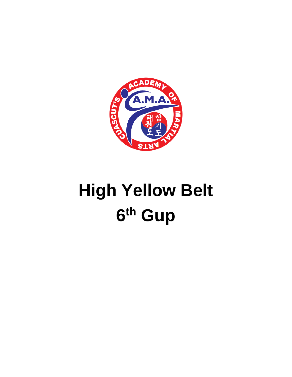

## **High Yellow Belt** 6th Gup